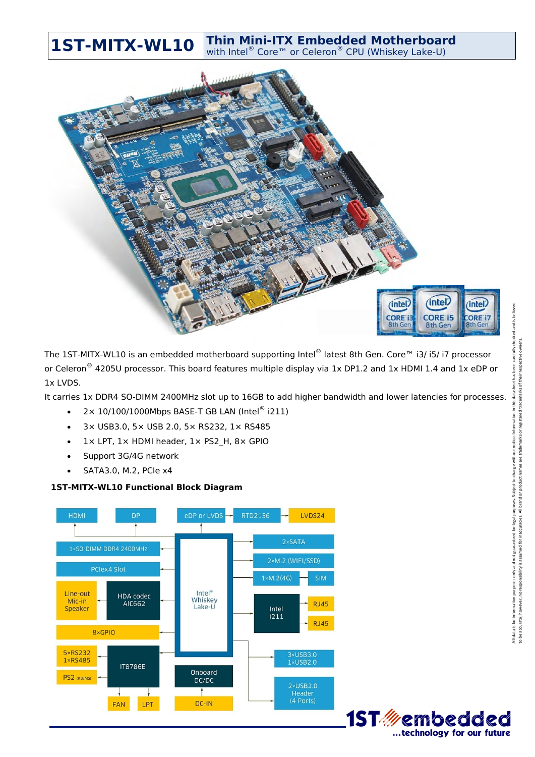**1ST-MITX-WL10** Thin Mini-ITX Embedded Motherboard



The 1ST-MITX-WL10 is an embedded motherboard supporting Intel® latest 8th Gen. Core™ i3/ i5/ i7 processor or Celeron<sup>®</sup> 4205U processor. This board features multiple display via 1x DP1.2 and 1x HDMI 1.4 and 1x eDP or 1x LVDS.

It carries 1x DDR4 SO-DIMM 2400MHz slot up to 16GB to add higher bandwidth and lower latencies for processes.

- $\bullet$  2× 10/100/1000Mbps BASE-T GB LAN (Intel® i211)
- 3× USB3.0, 5× USB 2.0, 5× RS232, 1× RS485
- $\bullet$  1 x LPT, 1 x HDMI header, 1 x PS2 H, 8 x GPIO
- Support 3G/4G network
- $\bullet$  SATA3.0, M.2, PCIe x4

## **1ST-MITX-WL10 Functional Block Diagram**



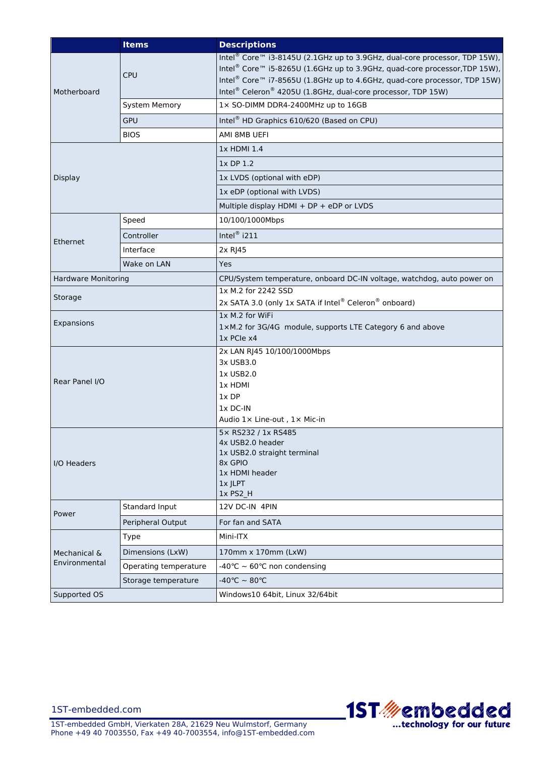|                               | <b>Items</b>          | <b>Descriptions</b>                                                                                                                                                                                                                                                                                                                                   |
|-------------------------------|-----------------------|-------------------------------------------------------------------------------------------------------------------------------------------------------------------------------------------------------------------------------------------------------------------------------------------------------------------------------------------------------|
| Motherboard                   | <b>CPU</b>            | Intel <sup>®</sup> Core™ i3-8145U (2.1GHz up to 3.9GHz, dual-core processor, TDP 15W),<br>Intel <sup>®</sup> Core™ i5-8265U (1.6GHz up to 3.9GHz, quad-core processor, TDP 15W),<br>Intel <sup>®</sup> Core <sup>™</sup> i7-8565U (1.8GHz up to 4.6GHz, quad-core processor, TDP 15W)<br>Intel® Celeron® 4205U (1.8GHz, dual-core processor, TDP 15W) |
|                               | <b>System Memory</b>  | 1x SO-DIMM DDR4-2400MHz up to 16GB                                                                                                                                                                                                                                                                                                                    |
|                               | <b>GPU</b>            | Intel <sup>®</sup> HD Graphics 610/620 (Based on CPU)                                                                                                                                                                                                                                                                                                 |
|                               | <b>BIOS</b>           | AMI 8MB UEFI                                                                                                                                                                                                                                                                                                                                          |
| <b>Display</b>                |                       | 1x HDMI 1.4                                                                                                                                                                                                                                                                                                                                           |
|                               |                       | 1x DP 1.2                                                                                                                                                                                                                                                                                                                                             |
|                               |                       | 1x LVDS (optional with eDP)                                                                                                                                                                                                                                                                                                                           |
|                               |                       | 1x eDP (optional with LVDS)                                                                                                                                                                                                                                                                                                                           |
|                               |                       | Multiple display HDMI + DP + eDP or LVDS                                                                                                                                                                                                                                                                                                              |
| Ethernet                      | Speed                 | 10/100/1000Mbps                                                                                                                                                                                                                                                                                                                                       |
|                               | Controller            | Intel <sup>®</sup> i211                                                                                                                                                                                                                                                                                                                               |
|                               | Interface             | 2x RJ45                                                                                                                                                                                                                                                                                                                                               |
|                               | Wake on LAN           | Yes                                                                                                                                                                                                                                                                                                                                                   |
| <b>Hardware Monitoring</b>    |                       | CPU/System temperature, onboard DC-IN voltage, watchdog, auto power on                                                                                                                                                                                                                                                                                |
| Storage                       |                       | 1x M.2 for 2242 SSD<br>2x SATA 3.0 (only 1x SATA if Intel® Celeron® onboard)                                                                                                                                                                                                                                                                          |
| Expansions                    |                       | 1x M.2 for WiFi<br>1xM.2 for 3G/4G module, supports LTE Category 6 and above<br>1x PCIe x4                                                                                                                                                                                                                                                            |
| Rear Panel I/O                |                       | 2x LAN RJ45 10/100/1000Mbps<br>3x USB3.0<br>1x USB2.0<br>1x HDMI<br>1xDP<br>$1x$ DC-IN<br>Audio 1x Line-out, 1x Mic-in                                                                                                                                                                                                                                |
| I/O Headers                   |                       | 5× RS232 / 1x RS485<br>4x USB2.0 header<br>1x USB2.0 straight terminal<br>8x GPIO<br>1x HDMI header<br>1x JLPT<br>1x PS2_H                                                                                                                                                                                                                            |
| Power                         | Standard Input        | 12V DC-IN 4PIN                                                                                                                                                                                                                                                                                                                                        |
|                               | Peripheral Output     | For fan and SATA                                                                                                                                                                                                                                                                                                                                      |
| Mechanical &<br>Environmental | Type                  | Mini-ITX                                                                                                                                                                                                                                                                                                                                              |
|                               | Dimensions (LxW)      | 170mm x 170mm (LxW)                                                                                                                                                                                                                                                                                                                                   |
|                               | Operating temperature | -40°C $\sim$ 60°C non condensing                                                                                                                                                                                                                                                                                                                      |
|                               | Storage temperature   | -40°C $\sim$ 80°C                                                                                                                                                                                                                                                                                                                                     |
| Supported OS                  |                       | Windows10 64bit, Linux 32/64bit                                                                                                                                                                                                                                                                                                                       |



1ST-embedded.com

1ST-embedded GmbH, Vierkaten 28A, 21629 Neu Wulmstorf, Germany Phone +49 40 7003550, Fax +49 40-7003554, info@1ST-embedded.com